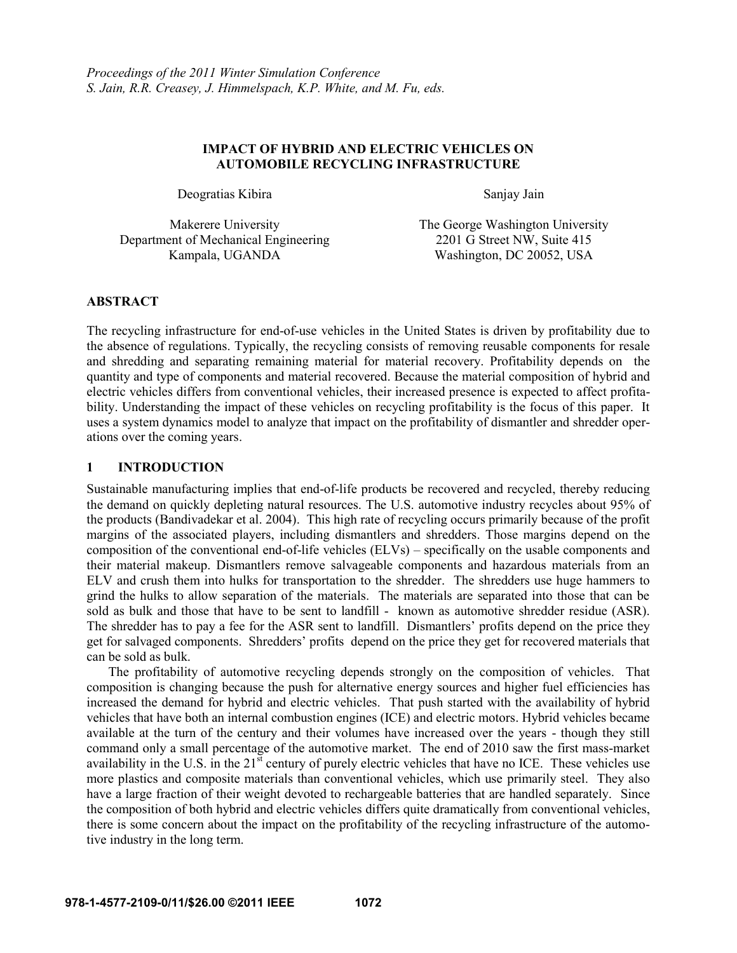### **IMPACT OF HYBRID AND ELECTRIC VEHICLES ON AUTOMOBILE RECYCLING INFRASTRUCTURE**

Deogratias Kibira Sanjay Jain

Department of Mechanical Engineering 2201 G Street NW, Suite 415

Makerere University The George Washington University Kampala, UGANDA Washington, DC 20052, USA

## **ABSTRACT**

The recycling infrastructure for end-of-use vehicles in the United States is driven by profitability due to the absence of regulations. Typically, the recycling consists of removing reusable components for resale and shredding and separating remaining material for material recovery. Profitability depends on the quantity and type of components and material recovered. Because the material composition of hybrid and electric vehicles differs from conventional vehicles, their increased presence is expected to affect profitability. Understanding the impact of these vehicles on recycling profitability is the focus of this paper. It uses a system dynamics model to analyze that impact on the profitability of dismantler and shredder operations over the coming years.

## **1 INTRODUCTION**

Sustainable manufacturing implies that end-of-life products be recovered and recycled, thereby reducing the demand on quickly depleting natural resources. The U.S. automotive industry recycles about 95% of the products (Bandivadekar et al. 2004). This high rate of recycling occurs primarily because of the profit margins of the associated players, including dismantlers and shredders. Those margins depend on the composition of the conventional end-of-life vehicles (ELVs) – specifically on the usable components and their material makeup. Dismantlers remove salvageable components and hazardous materials from an ELV and crush them into hulks for transportation to the shredder. The shredders use huge hammers to grind the hulks to allow separation of the materials. The materials are separated into those that can be sold as bulk and those that have to be sent to landfill - known as automotive shredder residue (ASR). The shredder has to pay a fee for the ASR sent to landfill. Dismantlers' profits depend on the price they get for salvaged components. Shredders' profits depend on the price they get for recovered materials that can be sold as bulk.

The profitability of automotive recycling depends strongly on the composition of vehicles. That composition is changing because the push for alternative energy sources and higher fuel efficiencies has increased the demand for hybrid and electric vehicles. That push started with the availability of hybrid vehicles that have both an internal combustion engines (ICE) and electric motors. Hybrid vehicles became available at the turn of the century and their volumes have increased over the years - though they still command only a small percentage of the automotive market. The end of 2010 saw the first mass-market availability in the U.S. in the 21<sup>st</sup> century of purely electric vehicles that have no ICE. These vehicles use more plastics and composite materials than conventional vehicles, which use primarily steel. They also have a large fraction of their weight devoted to rechargeable batteries that are handled separately. Since the composition of both hybrid and electric vehicles differs quite dramatically from conventional vehicles, there is some concern about the impact on the profitability of the recycling infrastructure of the automotive industry in the long term.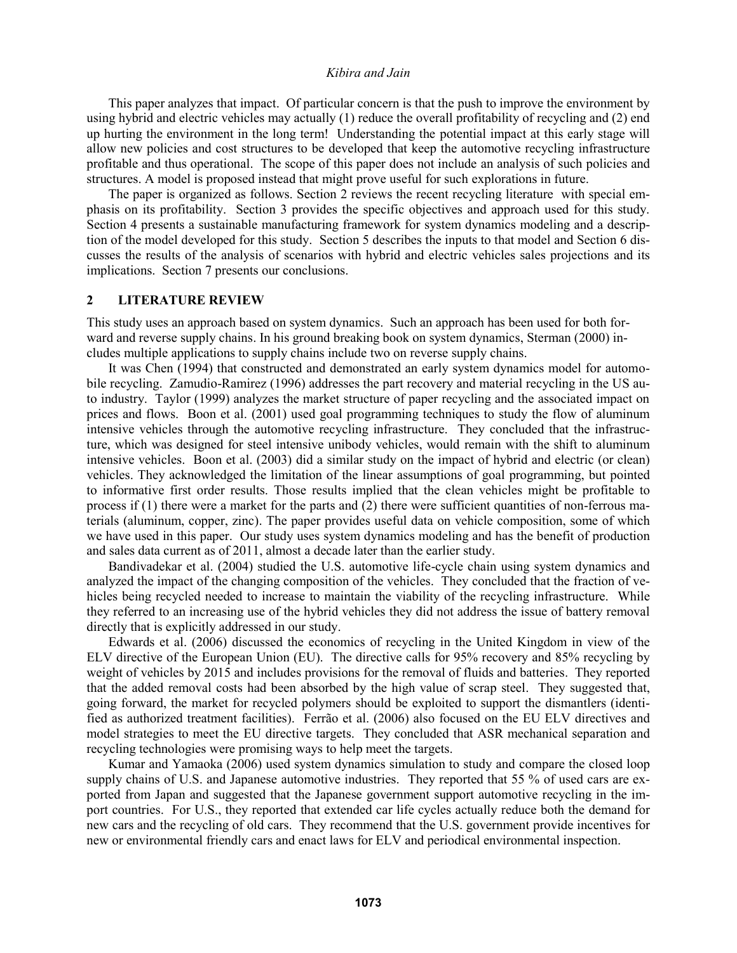This paper analyzes that impact. Of particular concern is that the push to improve the environment by using hybrid and electric vehicles may actually (1) reduce the overall profitability of recycling and (2) end up hurting the environment in the long term! Understanding the potential impact at this early stage will allow new policies and cost structures to be developed that keep the automotive recycling infrastructure profitable and thus operational. The scope of this paper does not include an analysis of such policies and structures. A model is proposed instead that might prove useful for such explorations in future.

The paper is organized as follows. Section 2 reviews the recent recycling literature with special emphasis on its profitability. Section 3 provides the specific objectives and approach used for this study. Section 4 presents a sustainable manufacturing framework for system dynamics modeling and a description of the model developed for this study. Section 5 describes the inputs to that model and Section 6 discusses the results of the analysis of scenarios with hybrid and electric vehicles sales projections and its implications. Section 7 presents our conclusions.

#### **2 LITERATURE REVIEW**

This study uses an approach based on system dynamics. Such an approach has been used for both forward and reverse supply chains. In his ground breaking book on system dynamics, Sterman (2000) includes multiple applications to supply chains include two on reverse supply chains.

It was Chen (1994) that constructed and demonstrated an early system dynamics model for automobile recycling. Zamudio-Ramirez (1996) addresses the part recovery and material recycling in the US auto industry. Taylor (1999) analyzes the market structure of paper recycling and the associated impact on prices and flows. Boon et al. (2001) used goal programming techniques to study the flow of aluminum intensive vehicles through the automotive recycling infrastructure. They concluded that the infrastructure, which was designed for steel intensive unibody vehicles, would remain with the shift to aluminum intensive vehicles. Boon et al. (2003) did a similar study on the impact of hybrid and electric (or clean) vehicles. They acknowledged the limitation of the linear assumptions of goal programming, but pointed to informative first order results. Those results implied that the clean vehicles might be profitable to process if (1) there were a market for the parts and (2) there were sufficient quantities of non-ferrous materials (aluminum, copper, zinc). The paper provides useful data on vehicle composition, some of which we have used in this paper. Our study uses system dynamics modeling and has the benefit of production and sales data current as of 2011, almost a decade later than the earlier study.

Bandivadekar et al. (2004) studied the U.S. automotive life-cycle chain using system dynamics and analyzed the impact of the changing composition of the vehicles. They concluded that the fraction of vehicles being recycled needed to increase to maintain the viability of the recycling infrastructure. While they referred to an increasing use of the hybrid vehicles they did not address the issue of battery removal directly that is explicitly addressed in our study.

Edwards et al. (2006) discussed the economics of recycling in the United Kingdom in view of the ELV directive of the European Union (EU). The directive calls for 95% recovery and 85% recycling by weight of vehicles by 2015 and includes provisions for the removal of fluids and batteries. They reported that the added removal costs had been absorbed by the high value of scrap steel. They suggested that, going forward, the market for recycled polymers should be exploited to support the dismantlers (identified as authorized treatment facilities). Ferrão et al. (2006) also focused on the EU ELV directives and model strategies to meet the EU directive targets. They concluded that ASR mechanical separation and recycling technologies were promising ways to help meet the targets.

Kumar and Yamaoka (2006) used system dynamics simulation to study and compare the closed loop supply chains of U.S. and Japanese automotive industries. They reported that 55 % of used cars are exported from Japan and suggested that the Japanese government support automotive recycling in the import countries. For U.S., they reported that extended car life cycles actually reduce both the demand for new cars and the recycling of old cars. They recommend that the U.S. government provide incentives for new or environmental friendly cars and enact laws for ELV and periodical environmental inspection.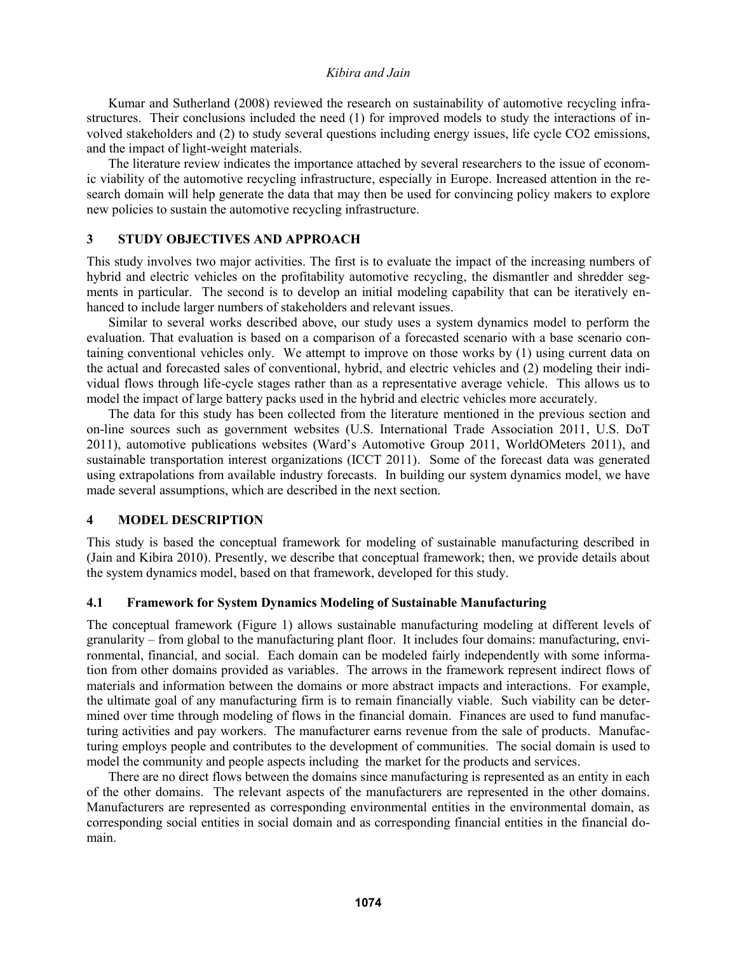Kumar and Sutherland (2008) reviewed the research on sustainability of automotive recycling infrastructures. Their conclusions included the need (1) for improved models to study the interactions of involved stakeholders and (2) to study several questions including energy issues, life cycle CO2 emissions, and the impact of light-weight materials.

The literature review indicates the importance attached by several researchers to the issue of economic viability of the automotive recycling infrastructure, especially in Europe. Increased attention in the research domain will help generate the data that may then be used for convincing policy makers to explore new policies to sustain the automotive recycling infrastructure.

### **3 STUDY OBJECTIVES AND APPROACH**

This study involves two major activities. The first is to evaluate the impact of the increasing numbers of hybrid and electric vehicles on the profitability automotive recycling, the dismantler and shredder segments in particular. The second is to develop an initial modeling capability that can be iteratively enhanced to include larger numbers of stakeholders and relevant issues.

Similar to several works described above, our study uses a system dynamics model to perform the evaluation. That evaluation is based on a comparison of a forecasted scenario with a base scenario containing conventional vehicles only. We attempt to improve on those works by (1) using current data on the actual and forecasted sales of conventional, hybrid, and electric vehicles and (2) modeling their individual flows through life-cycle stages rather than as a representative average vehicle. This allows us to model the impact of large battery packs used in the hybrid and electric vehicles more accurately.

The data for this study has been collected from the literature mentioned in the previous section and on-line sources such as government websites (U.S. International Trade Association 2011, U.S. DoT 2011), automotive publications websites (Ward's Automotive Group 2011, WorldOMeters 2011), and sustainable transportation interest organizations (ICCT 2011). Some of the forecast data was generated using extrapolations from available industry forecasts. In building our system dynamics model, we have made several assumptions, which are described in the next section.

#### **4 MODEL DESCRIPTION**

This study is based the conceptual framework for modeling of sustainable manufacturing described in (Jain and Kibira 2010). Presently, we describe that conceptual framework; then, we provide details about the system dynamics model, based on that framework, developed for this study.

### **4.1 Framework for System Dynamics Modeling of Sustainable Manufacturing**

The conceptual framework (Figure 1) allows sustainable manufacturing modeling at different levels of granularity – from global to the manufacturing plant floor. It includes four domains: manufacturing, environmental, financial, and social. Each domain can be modeled fairly independently with some information from other domains provided as variables. The arrows in the framework represent indirect flows of materials and information between the domains or more abstract impacts and interactions. For example, the ultimate goal of any manufacturing firm is to remain financially viable. Such viability can be determined over time through modeling of flows in the financial domain. Finances are used to fund manufacturing activities and pay workers. The manufacturer earns revenue from the sale of products. Manufacturing employs people and contributes to the development of communities. The social domain is used to model the community and people aspects including the market for the products and services.

There are no direct flows between the domains since manufacturing is represented as an entity in each of the other domains. The relevant aspects of the manufacturers are represented in the other domains. Manufacturers are represented as corresponding environmental entities in the environmental domain, as corresponding social entities in social domain and as corresponding financial entities in the financial domain.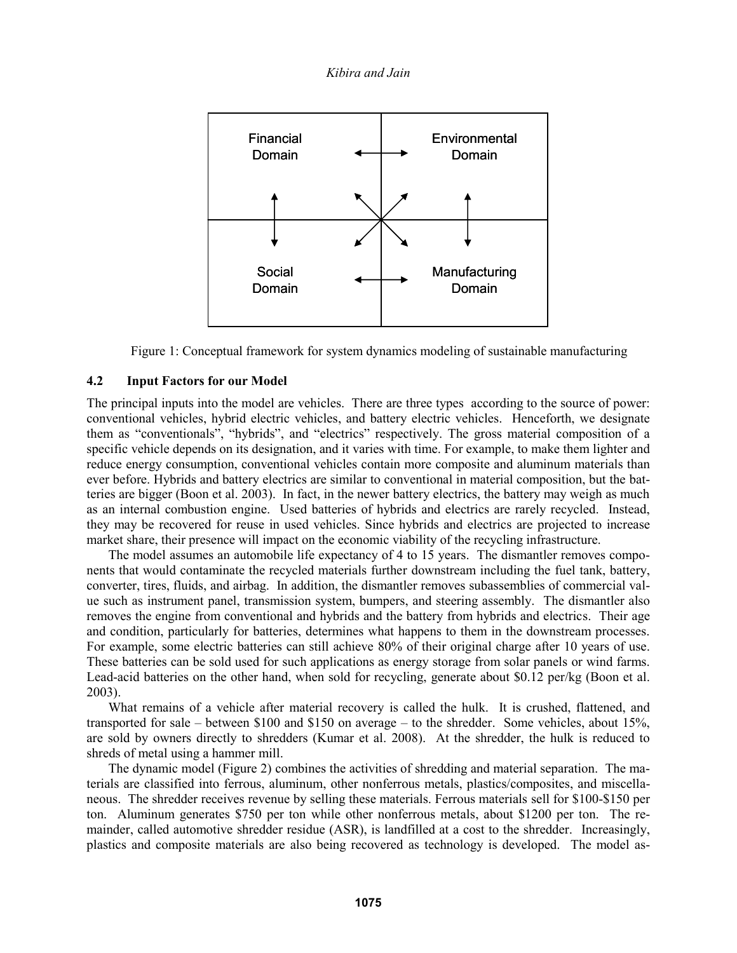

Figure 1: Conceptual framework for system dynamics modeling of sustainable manufacturing

### **4.2 Input Factors for our Model**

The principal inputs into the model are vehicles. There are three types according to the source of power: conventional vehicles, hybrid electric vehicles, and battery electric vehicles. Henceforth, we designate them as "conventionals", "hybrids", and "electrics" respectively. The gross material composition of a specific vehicle depends on its designation, and it varies with time. For example, to make them lighter and reduce energy consumption, conventional vehicles contain more composite and aluminum materials than ever before. Hybrids and battery electrics are similar to conventional in material composition, but the batteries are bigger (Boon et al. 2003). In fact, in the newer battery electrics, the battery may weigh as much as an internal combustion engine. Used batteries of hybrids and electrics are rarely recycled. Instead, they may be recovered for reuse in used vehicles. Since hybrids and electrics are projected to increase market share, their presence will impact on the economic viability of the recycling infrastructure.

The model assumes an automobile life expectancy of 4 to 15 years. The dismantler removes components that would contaminate the recycled materials further downstream including the fuel tank, battery, converter, tires, fluids, and airbag. In addition, the dismantler removes subassemblies of commercial value such as instrument panel, transmission system, bumpers, and steering assembly. The dismantler also removes the engine from conventional and hybrids and the battery from hybrids and electrics. Their age and condition, particularly for batteries, determines what happens to them in the downstream processes. For example, some electric batteries can still achieve 80% of their original charge after 10 years of use. These batteries can be sold used for such applications as energy storage from solar panels or wind farms. Lead-acid batteries on the other hand, when sold for recycling, generate about \$0.12 per/kg (Boon et al. 2003).

What remains of a vehicle after material recovery is called the hulk. It is crushed, flattened, and transported for sale – between \$100 and \$150 on average – to the shredder. Some vehicles, about 15%, are sold by owners directly to shredders (Kumar et al. 2008). At the shredder, the hulk is reduced to shreds of metal using a hammer mill.

The dynamic model (Figure 2) combines the activities of shredding and material separation. The materials are classified into ferrous, aluminum, other nonferrous metals, plastics/composites, and miscellaneous. The shredder receives revenue by selling these materials. Ferrous materials sell for \$100-\$150 per ton. Aluminum generates \$750 per ton while other nonferrous metals, about \$1200 per ton. The remainder, called automotive shredder residue (ASR), is landfilled at a cost to the shredder. Increasingly, plastics and composite materials are also being recovered as technology is developed. The model as-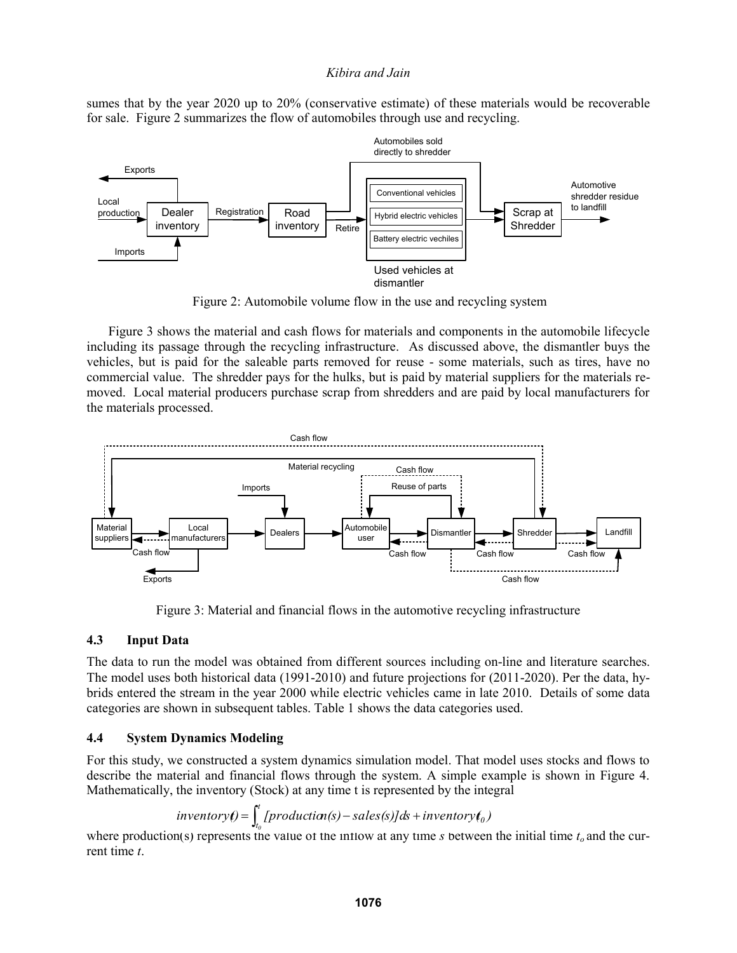sumes that by the year 2020 up to 20% (conservative estimate) of these materials would be recoverable for sale. Figure 2 summarizes the flow of automobiles through use and recycling.



Figure 2: Automobile volume flow in the use and recycling system

Figure 3 shows the material and cash flows for materials and components in the automobile lifecycle including its passage through the recycling infrastructure. As discussed above, the dismantler buys the vehicles, but is paid for the saleable parts removed for reuse - some materials, such as tires, have no commercial value. The shredder pays for the hulks, but is paid by material suppliers for the materials removed. Local material producers purchase scrap from shredders and are paid by local manufacturers for the materials processed.



Figure 3: Material and financial flows in the automotive recycling infrastructure

### **4.3 Input Data**

The data to run the model was obtained from different sources including on-line and literature searches. The model uses both historical data (1991-2010) and future projections for (2011-2020). Per the data, hybrids entered the stream in the year 2000 while electric vehicles came in late 2010. Details of some data categories are shown in subsequent tables. Table 1 shows the data categories used.

# **4.4 System Dynamics Modeling**

For this study, we constructed a system dynamics simulation model. That model uses stocks and flows to describe the material and financial flows through the system. A simple example is shown in Figure 4. Mathematically, the inventory (Stock) at any time t is represented by the integral

$$
inventory() = \int_{t_0}^{t} [production(s) - sales(s)]ds + inventory(t_0)
$$

where production(s) represents the value of the inflow at any time *s* between the initial time  $t_o$  and the current time *t*.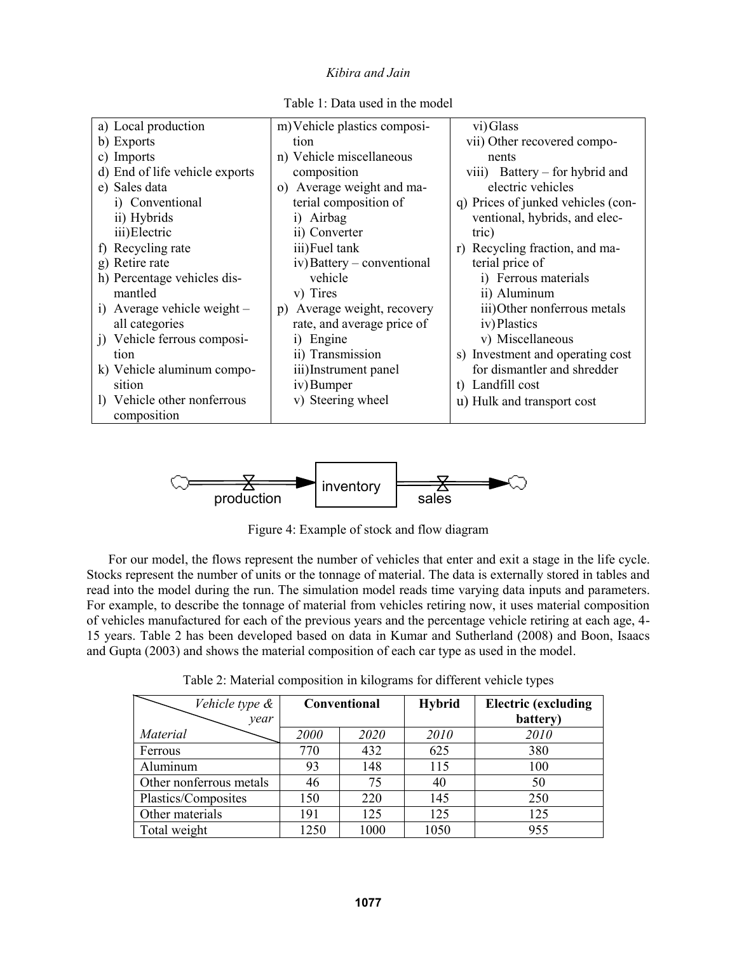| a) Local production                 | m) Vehicle plastics composi-       | vi) Glass                          |
|-------------------------------------|------------------------------------|------------------------------------|
| b) Exports                          | tion                               | vii) Other recovered compo-        |
| c) Imports                          | n) Vehicle miscellaneous           | nents                              |
| d) End of life vehicle exports      | composition                        | viii) Battery – for hybrid and     |
| e) Sales data                       | Average weight and ma-<br>$\Omega$ | electric vehicles                  |
| i) Conventional                     | terial composition of              | q) Prices of junked vehicles (con- |
| ii) Hybrids                         | i) Airbag                          | ventional, hybrids, and elec-      |
| iii) Electric                       | ii) Converter                      | tric)                              |
| f) Recycling rate                   | iii) Fuel tank                     | Recycling fraction, and ma-<br>r)  |
| g) Retire rate                      | iv) Battery – conventional         | terial price of                    |
| h) Percentage vehicles dis-         | vehicle                            | i) Ferrous materials               |
| mantled                             | v) Tires                           | ii) Aluminum                       |
| i) Average vehicle weight -         | Average weight, recovery<br>p)     | iii) Other nonferrous metals       |
| all categories                      | rate, and average price of         | iv) Plastics                       |
| <i>i</i> ) Vehicle ferrous composi- | i) Engine                          | v) Miscellaneous                   |
| tion                                | ii) Transmission                   | s) Investment and operating cost   |
| k) Vehicle aluminum compo-          | iii) Instrument panel              | for dismantler and shredder        |
| sition                              | iv) Bumper                         | t) Landfill cost                   |
| 1) Vehicle other nonferrous         | v) Steering wheel                  | u) Hulk and transport cost         |
| composition                         |                                    |                                    |
|                                     |                                    |                                    |

Table 1: Data used in the model



Figure 4: Example of stock and flow diagram

For our model, the flows represent the number of vehicles that enter and exit a stage in the life cycle. Stocks represent the number of units or the tonnage of material. The data is externally stored in tables and read into the model during the run. The simulation model reads time varying data inputs and parameters. For example, to describe the tonnage of material from vehicles retiring now, it uses material composition of vehicles manufactured for each of the previous years and the percentage vehicle retiring at each age, 4- 15 years. Table 2 has been developed based on data in Kumar and Sutherland (2008) and Boon, Isaacs and Gupta (2003) and shows the material composition of each car type as used in the model.

Table 2: Material composition in kilograms for different vehicle types

| Vehicle type &<br>year  | Conventional |      | <b>Hybrid</b> | <b>Electric</b> (excluding<br>battery) |
|-------------------------|--------------|------|---------------|----------------------------------------|
| Material                | 2000         | 2020 | 2010          | 2010                                   |
| Ferrous                 | 770          | 432  | 625           | 380                                    |
| Aluminum                | 93           | 148  | 115           | 100                                    |
| Other nonferrous metals | 46           | 75   | 40            | 50                                     |
| Plastics/Composites     | 150          | 220  | 145           | 250                                    |
| Other materials         | 191          | 125  | 125           | 125                                    |
| Total weight            | 1250         | 1000 | 1050          | 955                                    |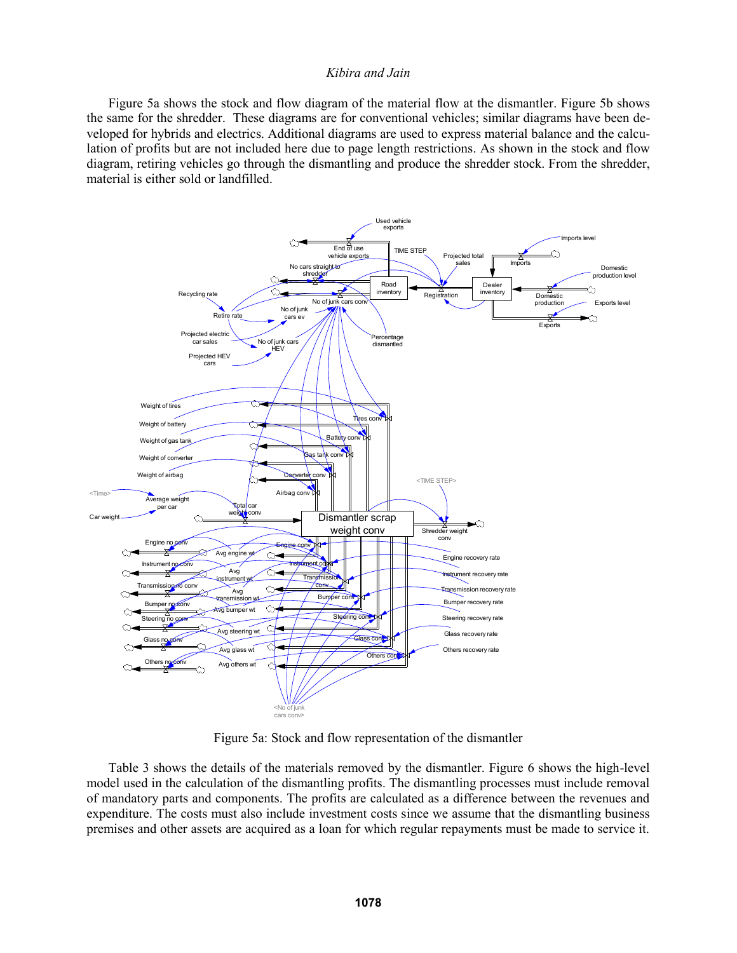Figure 5a shows the stock and flow diagram of the material flow at the dismantler. Figure 5b shows the same for the shredder. These diagrams are for conventional vehicles; similar diagrams have been developed for hybrids and electrics. Additional diagrams are used to express material balance and the calculation of profits but are not included here due to page length restrictions. As shown in the stock and flow diagram, retiring vehicles go through the dismantling and produce the shredder stock. From the shredder, material is either sold or landfilled.



Figure 5a: Stock and flow representation of the dismantler

Table 3 shows the details of the materials removed by the dismantler. Figure 6 shows the high-level model used in the calculation of the dismantling profits. The dismantling processes must include removal of mandatory parts and components. The profits are calculated as a difference between the revenues and expenditure. The costs must also include investment costs since we assume that the dismantling business premises and other assets are acquired as a loan for which regular repayments must be made to service it.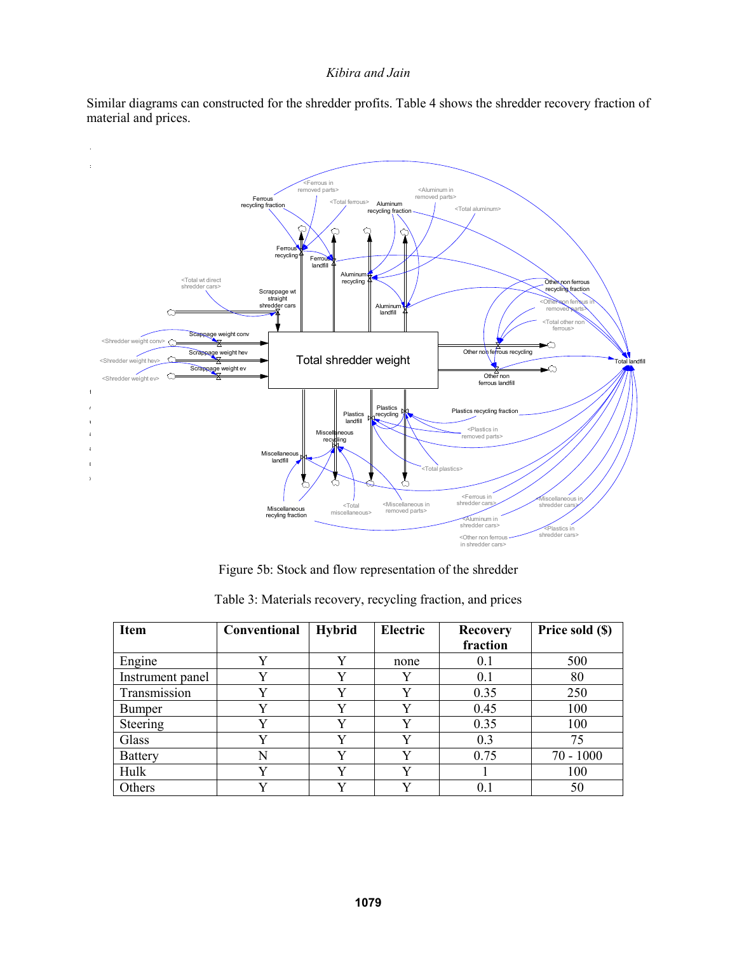Similar diagrams can constructed for the shredder profits. Table 4 shows the shredder recovery fraction of material and prices.



Figure 5b: Stock and flow representation of the shredder

| <b>Item</b>      | Conventional | <b>Hybrid</b> | <b>Electric</b> | <b>Recovery</b> | Price sold (\$) |
|------------------|--------------|---------------|-----------------|-----------------|-----------------|
|                  |              |               |                 | fraction        |                 |
| Engine           | v            | Y             | none            | 0.1             | 500             |
| Instrument panel | v            | v             |                 | 0.1             | 80              |
| Transmission     | v            | v             | v               | 0.35            | 250             |
| <b>Bumper</b>    | v            | V             | v               | 0.45            | 100             |
| Steering         | v            | Y             | v               | 0.35            | 100             |
| Glass            | v            | v             | v               | 0.3             | 75              |
| <b>Battery</b>   | N            | Y             | V               | 0.75            | $70 - 1000$     |
| Hulk             | v            | v             | v               |                 | 100             |
| Others           | v            | v             | v               | 0.1             | 50              |

Table 3: Materials recovery, recycling fraction, and prices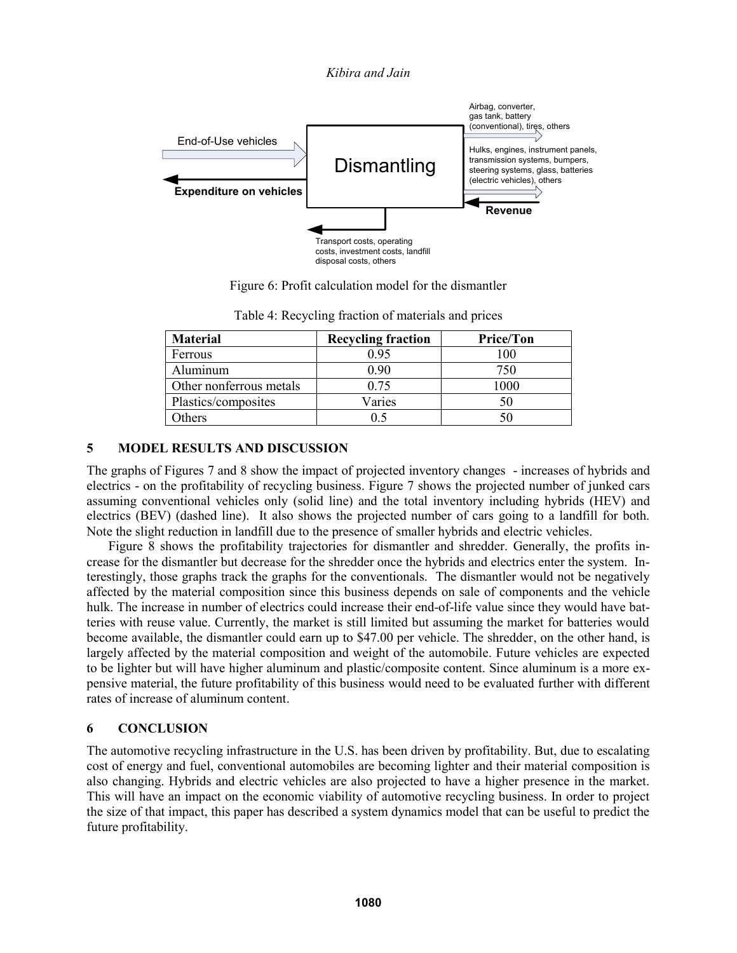

Figure 6: Profit calculation model for the dismantler

| <b>Material</b>         | <b>Recycling fraction</b> | <b>Price/Ton</b> |
|-------------------------|---------------------------|------------------|
| Ferrous                 | 0 95                      | 100              |
| Aluminum                | 0 90                      | 750              |
| Other nonferrous metals | 0.75                      | 1000             |
| Plastics/composites     | Varies                    | 50               |
| Others                  |                           | 50               |

Table 4: Recycling fraction of materials and prices

## **5 MODEL RESULTS AND DISCUSSION**

The graphs of Figures 7 and 8 show the impact of projected inventory changes - increases of hybrids and electrics - on the profitability of recycling business. Figure 7 shows the projected number of junked cars assuming conventional vehicles only (solid line) and the total inventory including hybrids (HEV) and electrics (BEV) (dashed line). It also shows the projected number of cars going to a landfill for both. Note the slight reduction in landfill due to the presence of smaller hybrids and electric vehicles.

Figure 8 shows the profitability trajectories for dismantler and shredder. Generally, the profits increase for the dismantler but decrease for the shredder once the hybrids and electrics enter the system. Interestingly, those graphs track the graphs for the conventionals. The dismantler would not be negatively affected by the material composition since this business depends on sale of components and the vehicle hulk. The increase in number of electrics could increase their end-of-life value since they would have batteries with reuse value. Currently, the market is still limited but assuming the market for batteries would become available, the dismantler could earn up to \$47.00 per vehicle. The shredder, on the other hand, is largely affected by the material composition and weight of the automobile. Future vehicles are expected to be lighter but will have higher aluminum and plastic/composite content. Since aluminum is a more expensive material, the future profitability of this business would need to be evaluated further with different rates of increase of aluminum content.

# **6 CONCLUSION**

The automotive recycling infrastructure in the U.S. has been driven by profitability. But, due to escalating cost of energy and fuel, conventional automobiles are becoming lighter and their material composition is also changing. Hybrids and electric vehicles are also projected to have a higher presence in the market. This will have an impact on the economic viability of automotive recycling business. In order to project the size of that impact, this paper has described a system dynamics model that can be useful to predict the future profitability.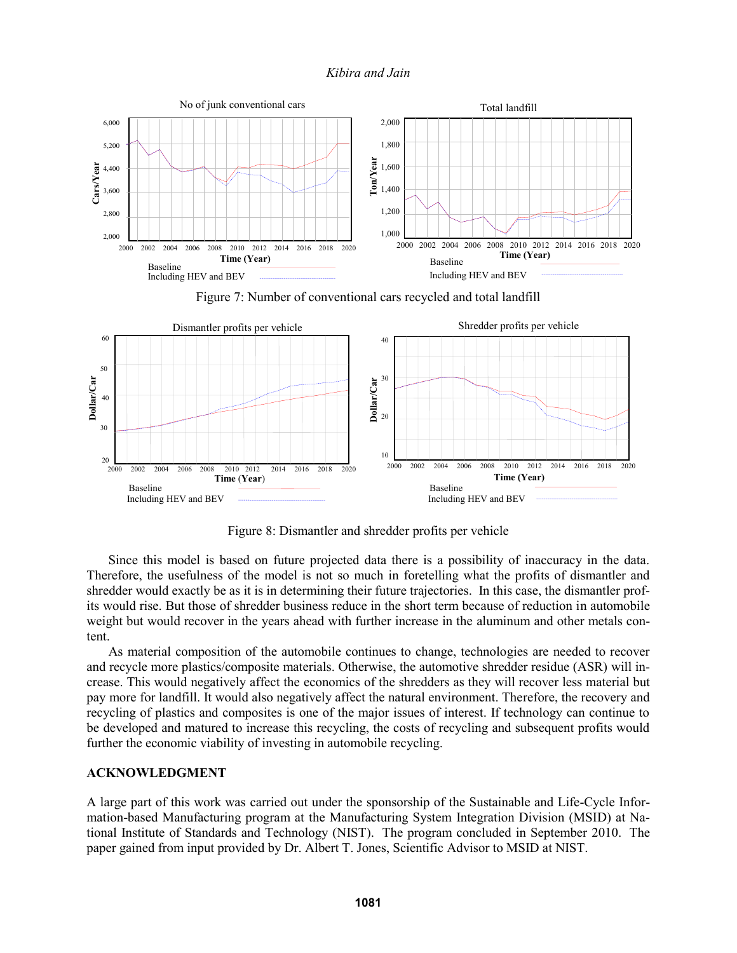

Figure 7: Number of conventional cars recycled and total landfill



Figure 8: Dismantler and shredder profits per vehicle

Since this model is based on future projected data there is a possibility of inaccuracy in the data. Therefore, the usefulness of the model is not so much in foretelling what the profits of dismantler and shredder would exactly be as it is in determining their future trajectories. In this case, the dismantler profits would rise. But those of shredder business reduce in the short term because of reduction in automobile weight but would recover in the years ahead with further increase in the aluminum and other metals content.

As material composition of the automobile continues to change, technologies are needed to recover and recycle more plastics/composite materials. Otherwise, the automotive shredder residue (ASR) will increase. This would negatively affect the economics of the shredders as they will recover less material but pay more for landfill. It would also negatively affect the natural environment. Therefore, the recovery and recycling of plastics and composites is one of the major issues of interest. If technology can continue to be developed and matured to increase this recycling, the costs of recycling and subsequent profits would further the economic viability of investing in automobile recycling.

### **ACKNOWLEDGMENT**

A large part of this work was carried out under the sponsorship of the Sustainable and Life-Cycle Information-based Manufacturing program at the Manufacturing System Integration Division (MSID) at National Institute of Standards and Technology (NIST). The program concluded in September 2010. The paper gained from input provided by Dr. Albert T. Jones, Scientific Advisor to MSID at NIST.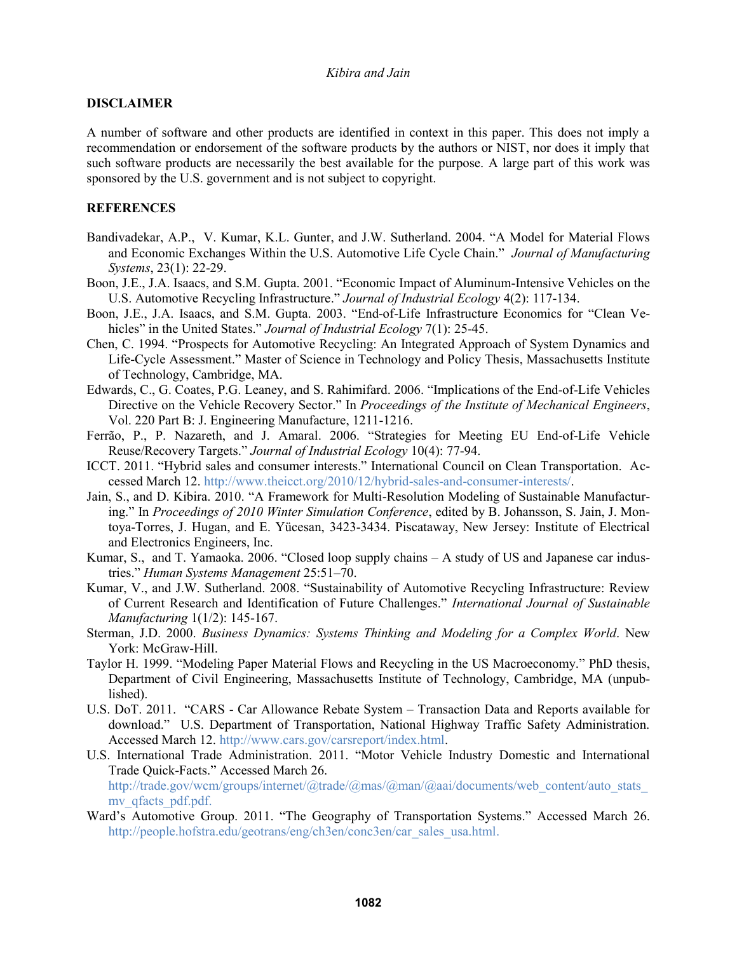### **DISCLAIMER**

A number of software and other products are identified in context in this paper. This does not imply a recommendation or endorsement of the software products by the authors or NIST, nor does it imply that such software products are necessarily the best available for the purpose. A large part of this work was sponsored by the U.S. government and is not subject to copyright.

## **REFERENCES**

- Bandivadekar, A.P., V. Kumar, K.L. Gunter, and J.W. Sutherland. 2004. "A Model for Material Flows and Economic Exchanges Within the U.S. Automotive Life Cycle Chain." *Journal of Manufacturing Systems*, 23(1): 22-29.
- Boon, J.E., J.A. Isaacs, and S.M. Gupta. 2001. "Economic Impact of Aluminum-Intensive Vehicles on the U.S. Automotive Recycling Infrastructure." *Journal of Industrial Ecology* 4(2): 117-134.
- Boon, J.E., J.A. Isaacs, and S.M. Gupta. 2003. "End-of-Life Infrastructure Economics for "Clean Vehicles" in the United States." *Journal of Industrial Ecology* 7(1): 25-45.
- Chen, C. 1994. "Prospects for Automotive Recycling: An Integrated Approach of System Dynamics and Life-Cycle Assessment." Master of Science in Technology and Policy Thesis, Massachusetts Institute of Technology, Cambridge, MA.
- Edwards, C., G. Coates, P.G. Leaney, and S. Rahimifard. 2006. "Implications of the End-of-Life Vehicles Directive on the Vehicle Recovery Sector." In *Proceedings of the Institute of Mechanical Engineers*, Vol. 220 Part B: J. Engineering Manufacture, 1211-1216.
- Ferrão, P., P. Nazareth, and J. Amaral. 2006. "Strategies for Meeting EU End-of-Life Vehicle Reuse/Recovery Targets." *Journal of Industrial Ecology* 10(4): 77-94.
- ICCT. 2011. "Hybrid sales and consumer interests." International Council on Clean Transportation. Accessed March 12. http://www.theicct.org/2010/12/hybrid-sales-and-consumer-interests/.
- Jain, S., and D. Kibira. 2010. "A Framework for Multi-Resolution Modeling of Sustainable Manufacturing." In *Proceedings of 2010 Winter Simulation Conference*, edited by B. Johansson, S. Jain, J. Montoya-Torres, J. Hugan, and E. Yücesan, 3423-3434. Piscataway, New Jersey: Institute of Electrical and Electronics Engineers, Inc.
- Kumar, S., and T. Yamaoka. 2006. "Closed loop supply chains A study of US and Japanese car industries." *Human Systems Management* 25:51–70.
- Kumar, V., and J.W. Sutherland. 2008. "Sustainability of Automotive Recycling Infrastructure: Review of Current Research and Identification of Future Challenges." *International Journal of Sustainable Manufacturing* 1(1/2): 145-167.
- Sterman, J.D. 2000. *Business Dynamics: Systems Thinking and Modeling for a Complex World*. New York: McGraw-Hill.
- Taylor H. 1999. "Modeling Paper Material Flows and Recycling in the US Macroeconomy." PhD thesis, Department of Civil Engineering, Massachusetts Institute of Technology, Cambridge, MA (unpublished).
- U.S. DoT. 2011. "CARS Car Allowance Rebate System Transaction Data and Reports available for download." U.S. Department of Transportation, National Highway Traffic Safety Administration. Accessed March 12. http://www.cars.gov/carsreport/index.html.
- U.S. International Trade Administration. 2011. "Motor Vehicle Industry Domestic and International Trade Quick-Facts." Accessed March 26. http://trade.gov/wcm/groups/internet/@trade/@mas/@man/@aai/documents/web\_content/auto\_stats my qfacts pdf.pdf.
- Ward's Automotive Group. 2011. "The Geography of Transportation Systems." Accessed March 26. http://people.hofstra.edu/geotrans/eng/ch3en/conc3en/car\_sales\_usa.html.